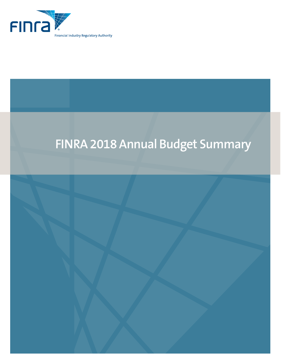

# **FINRA 2018 Annual Budget Summary**

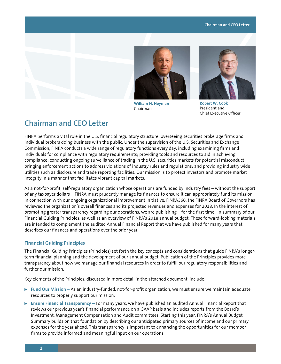## **Chairman and CEO Letter**





**William H. Heyman** Chairman



**Robert W. Cook** President and Chief Executive Officer

# **Chairman and CEO Letter**

FINRA performs a vital role in the U.S. financial regulatory structure: overseeing securities brokerage firms and individual brokers doing business with the public. Under the supervision of the U.S. Securities and Exchange Commission, FINRA conducts a wide range of regulatory functions every day, including examining firms and individuals for compliance with regulatory requirements; providing tools and resources to aid in achieving compliance; conducting ongoing surveillance of trading in the U.S. securities markets for potential misconduct; bringing enforcement actions to address violations of industry rules and regulations; and providing industry wide utilities such as disclosure and trade reporting facilities. Our mission is to protect investors and promote market integrity in a manner that facilitates vibrant capital markets.

As a not-for-profit, self-regulatory organization whose operations are funded by industry fees – without the support of any taxpayer dollars – FINRA must prudently manage its finances to ensure it can appropriately fund its mission. In connection with our ongoing organizational improvement initiative, FINRA360, the FINRA Board of Governors has reviewed the organization's overall finances and its projected revenues and expenses for 2018. In the interest of promoting greater transparency regarding our operations, we are publishing – for the first time – a summary of our Financial Guiding Principles, as well as an overview of FINRA's 2018 annual budget. These forward-looking materials are intended to complement the audited [Annual Financial Report](http://www.finra.org/about/annual-reports-financials) that we have published for many years that describes our finances and operations over the prior year.

# **Financial Guiding Principles**

The Financial Guiding Principles (Principles) set forth the key concepts and considerations that guide FINRA's longerterm financial planning and the development of our annual budget. Publication of the Principles provides more transparency about how we manage our financial resources in order to fulfill our regulatory responsibilities and further our mission.

Key elements of the Principles, discussed in more detail in the attached document, include:

- ► Fund Our Mission As an industry-funded, not-for-profit organization, we must ensure we maintain adequate resources to properly support our mission.
- **Ensure Financial Transparency For many years, we have published an audited Annual Financial Report that** reviews our previous year's financial performance on a GAAP basis and includes reports from the Board's Investment, Management Compensation and Audit committees. Starting this year, FINRA's Annual Budget Summary builds on that foundation by describing our anticipated primary sources of income and our primary expenses for the year ahead. This transparency is important to enhancing the opportunities for our member firms to provide informed and meaningful input on our operations.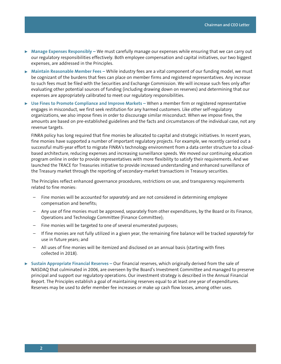- ▶ Manage Expenses Responsibly We must carefully manage our expenses while ensuring that we can carry out our regulatory responsibilities effectively. Both employee compensation and capital initiatives, our two biggest expenses, are addressed in the Principles.
- <sup>0</sup> **Maintain Reasonable Member Fees** While industry fees are a vital component of our funding model, we must be cognizant of the burdens that fees can place on member firms and registered representatives. Any increase to such fees must be filed with the Securities and Exchange Commission. We will increase such fees only after evaluating other potential sources of funding (including drawing down on reserves) and determining that our expenses are appropriately calibrated to meet our regulatory responsibilities.
- ▶ Use Fines to Promote Compliance and Improve Markets When a member firm or registered representative engages in misconduct, we first seek restitution for any harmed customers. Like other self-regulatory organizations, we also impose fines in order to discourage similar misconduct. When we impose fines, the amounts are based on pre-established guidelines and the facts and circumstances of the individual case, not any revenue targets.

FINRA policy has long required that fine monies be allocated to capital and strategic initiatives. In recent years, fine monies have supported a number of important regulatory projects. For example, we recently carried out a successful multi-year effort to migrate FINRA's technology environment from a data center structure to a cloudbased architecture, reducing expenses and increasing surveillance speeds. We moved our continuing education program online in order to provide representatives with more flexibility to satisfy their requirements. And we launched the TRACE for Treasuries initiative to provide increased understanding and enhanced surveillance of the Treasury market through the reporting of secondary-market transactions in Treasury securities.

The Principles reflect enhanced governance procedures, restrictions on use, and transparency requirements related to fine monies:

- Fine monies will be accounted for *separately* and are not considered in determining employee compensation and benefits;
- Any use of fine monies must be approved, separately from other expenditures, by the Board or its Finance, Operations and Technology Committee (Finance Committee);
- Fine monies will be targeted to one of several enumerated purposes;
- If fine monies are not fully utilized in a given year, the remaining fine balance will be tracked *separately* for use in future years; and
- All uses of fine monies will be itemized and disclosed on an annual basis (starting with fines collected in 2018).
- <sup>0</sup> **Sustain Appropriate Financial Reserves –** Our financial reserves, which originally derived from the sale of NASDAQ that culminated in 2006, are overseen by the Board's Investment Committee and managed to preserve principal and support our regulatory operations. Our investment strategy is described in the Annual Financial Report. The Principles establish a goal of maintaining reserves equal to at least one year of expenditures. Reserves may be used to defer member fee increases or make up cash flow losses, among other uses.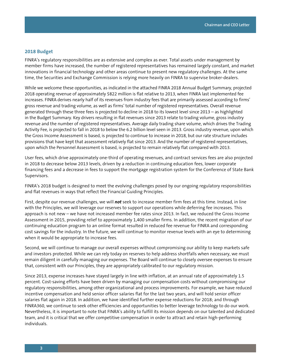## **2018 Budget**

FINRA's regulatory responsibilities are as extensive and complex as ever. Total assets under management by member firms have increased, the number of registered representatives has remained largely constant, and market innovations in financial technology and other areas continue to present new regulatory challenges. At the same time, the Securities and Exchange Commission is relying more heavily on FINRA to supervise broker-dealers.

While we welcome these opportunities, as indicated in the attached FINRA 2018 Annual Budget Summary, projected 2018 operating revenue of approximately \$822 million is flat relative to 2013, when FINRA last implemented fee increases. FINRA derives nearly half of its revenues from industry fees that are primarily assessed according to firms' gross revenue and trading volume, as well as firms' total number of registered representatives. Overall revenue generated through these three fees is projected to decline in 2018 to its lowest level since 2013 – as highlighted in the Budget Summary. Key drivers resulting in flat revenues since 2013 relate to trading volume, gross industry revenue and the number of registered representatives. Average daily trading share volume, which drives the Trading Activity Fee, is projected to fall in 2018 to below the 6.2 billion level seen in 2013. Gross industry revenue, upon which the Gross Income Assessment is based, is projected to continue to increase in 2018, but our rate structure includes provisions that have kept that assessment relatively flat since 2013. And the number of registered representatives, upon which the Personnel Assessment is based, is projected to remain relatively flat compared with 2013.

User fees, which drive approximately one-third of operating revenues, and contract services fees are also projected in 2018 to decrease below 2013 levels, driven by a reduction in continuing education fees, lower corporate financing fees and a decrease in fees to support the mortgage registration system for the Conference of State Bank Supervisors.

FINRA's 2018 budget is designed to meet the evolving challenges posed by our ongoing regulatory responsibilities and flat revenues in ways that reflect the Financial Guiding Principles.

First, despite our revenue challenges, we will *not* seek to increase member firm fees at this time. Instead, in line with the Principles, we will leverage our reserves to support our operations while deferring fee increases. This approach is not new – we have not increased member fee rates since 2013. In fact, we reduced the Gross Income Assessment in 2015, providing relief to approximately 1,400 smaller firms. In addition, the recent migration of our continuing education program to an online format resulted in reduced fee revenue for FINRA and corresponding cost savings for the industry. In the future, we will continue to monitor revenue levels with an eye to determining when it would be appropriate to increase fees.

Second, we will continue to manage our overall expenses without compromising our ability to keep markets safe and investors protected. While we can rely today on reserves to help address shortfalls when necessary, we must remain diligent in carefully managing our expenses. The Board will continue to closely oversee expenses to ensure that, consistent with our Principles, they are appropriately calibrated to our regulatory mission.

Since 2013, expense increases have stayed largely in line with inflation, at an annual rate of approximately 1.5 percent. Cost-saving efforts have been driven by managing our compensation costs without compromising our regulatory responsibilities, among other organizational and process improvements. For example, we have reduced incentive compensation and held senior officer salaries flat for the last two years, and will hold senior officer salaries flat again in 2018. In addition, we have identified further expense reductions for 2018; and through FINRA360, we continue to seek other efficiencies and opportunities to better leverage technology to do our work. Nevertheless, it is important to note that FINRA's ability to fulfill its mission depends on our talented and dedicated team, and it is critical that we offer competitive compensation in order to attract and retain high-performing individuals.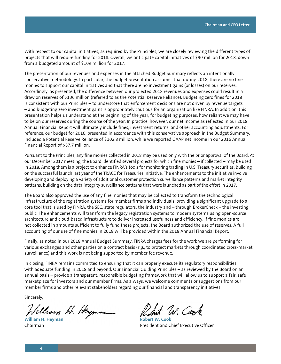With respect to our capital initiatives, as required by the Principles, we are closely reviewing the different types of projects that will require funding for 2018. Overall, we anticipate capital initiatives of \$90 million for 2018, down from a budgeted amount of \$109 million for 2017.

The presentation of our revenues and expenses in the attached Budget Summary reflects an intentionally conservative methodology. In particular, the budget presentation assumes that during 2018, there are no fine monies to support our capital initiatives and that there are no investment gains (or losses) on our reserves. Accordingly, as presented, the difference between our projected 2018 revenues and expenses could result in a draw on reserves of \$136 million (referred to as the Potential Reserve Reliance). Budgeting zero fines for 2018 is consistent with our Principles – to underscore that enforcement decisions are not driven by revenue targets – and budgeting zero investment gains is appropriately cautious for an organization like FINRA. In addition, this presentation helps us understand at the beginning of the year, for budgeting purposes, how reliant we may have to be on our reserves during the course of the year. In practice, however, our net income as reflected in our 2018 Annual Financial Report will ultimately include fines, investment returns, and other accounting adjustments. For reference, our budget for 2016, presented in accordance with this conservative approach in the Budget Summary, included a Potential Reserve Reliance of \$102.8 million, while we reported GAAP net income in our 2016 Annual Financial Report of \$57.7 million.

Pursuant to the Principles, any fine monies collected in 2018 may be used only with the prior approval of the Board. At our December 2017 meeting, the Board identified several projects for which fine monies – if collected – may be used in 2018. Among them is a project to enhance FINRA's tools for monitoring trading in U.S. Treasury securities, building on the successful launch last year of the TRACE for Treasuries initiative. The enhancements to the initiative involve developing and deploying a variety of additional customer protection surveillance patterns and market integrity patterns, building on the data integrity surveillance patterns that were launched as part of the effort in 2017.

The Board also approved the use of any fine monies that may be collected to transform the technological infrastructure of the registration systems for member firms and individuals, providing a significant upgrade to a core tool that is used by FINRA, the SEC, state regulators, the industry and – through BrokerCheck – the investing public. The enhancements will transform the legacy registration systems to modern systems using open-source architecture and cloud-based infrastructure to deliver increased usefulness and efficiency. If fine monies are not collected in amounts sufficient to fully fund these projects, the Board authorized the use of reserves. A full accounting of our use of fine monies in 2018 will be provided within the 2018 Annual Financial Report.

Finally, as noted in our 2018 Annual Budget Summary, FINRA charges fees for the work we are performing for various exchanges and other parties on a contract basis (*e.g.*, to protect markets through coordinated cross-market surveillance) and this work is not being supported by member fee revenue.

In closing, FINRA remains committed to ensuring that it can properly execute its regulatory responsibilities with adequate funding in 2018 and beyond. Our Financial Guiding Principles – as reviewed by the Board on an annual basis – provide a transparent, responsible budgeting framework that will allow us to support a fair, safe marketplace for investors and our member firms. As always, we welcome comments or suggestions from our member firms and other relevant stakeholders regarding our financial and transparency initiatives.

Sincerely,

Chom H. Heymon **William H. Heyman Cook** 

W. Cent

Chairman President and Chief Executive Officer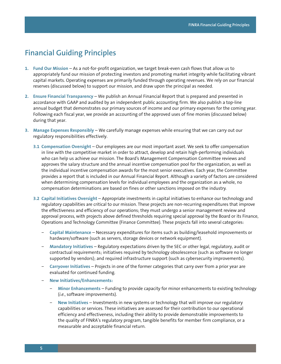# **Financial Guiding Principles**

- **1. Fund Our Mission** As a not-for-profit organization, we target break-even cash flows that allow us to appropriately fund our mission of protecting investors and promoting market integrity while facilitating vibrant capital markets. Operating expenses are primarily funded through operating revenues. We rely on our financial reserves (discussed below) to support our mission, and draw upon the principal as needed.
- **2. Ensure Financial Transparency** We publish an Annual Financial Report that is prepared and presented in accordance with GAAP and audited by an independent public accounting firm. We also publish a top-line annual budget that demonstrates our primary sources of income and our primary expenses for the coming year. Following each fiscal year, we provide an accounting of the approved uses of fine monies (discussed below) during that year.
- **3. Manage Expenses Responsibly** We carefully manage expenses while ensuring that we can carry out our regulatory responsibilities effectively.
	- **3.1 Compensation Oversight** Our employees are our most important asset. We seek to offer compensation in line with the competitive market in order to attract, develop and retain high-performing individuals who can help us achieve our mission. The Board's Management Compensation Committee reviews and approves the salary structure and the annual incentive compensation pool for the organization, as well as the individual incentive compensation awards for the most senior executives. Each year, the Committee provides a report that is included in our Annual Financial Report. Although a variety of factors are considered when determining compensation levels for individual employees and the organization as a whole, no compensation determinations are based on fines or other sanctions imposed on the industry.
	- **3.2 Capital Initiatives Oversight** Appropriate investments in capital initiatives to enhance our technology and regulatory capabilities are critical to our mission. These projects are non-recurring expenditures that improve the effectiveness and efficiency of our operations; they must undergo a senior management review and approval process, with projects above defined thresholds requiring special approval by the Board or its Finance, Operations and Technology Committee (Finance Committee). These projects fall into several categories:
		- − **Capital Maintenance** Necessary expenditures for items such as building/leasehold improvements or hardware/software (such as servers, storage devices or network equipment).
		- − **Mandatory Initiatives** Regulatory expectations driven by the SEC or other legal, regulatory, audit or contractual requirements; initiatives required by technology obsolescence (such as software no longer supported by vendors); and required infrastructure support (such as cybersecurity improvements).
		- − **Carryover Initiatives** Projects in one of the former categories that carry over from a prior year are evaluated for continued funding.
		- − **New Initiatives/Enhancements:**
			- − **Minor Enhancements** Funding to provide capacity for minor enhancements to existing technology (*i.e.*, software improvements).
			- − **New Initiatives** Investments in new systems or technology that will improve our regulatory capabilities or services. These initiatives are assessed for their contribution to our operational efficiency and effectiveness, including their ability to provide demonstrable improvements to the quality of FINRA's regulatory program, tangible benefits for member firm compliance, or a measurable and acceptable financial return.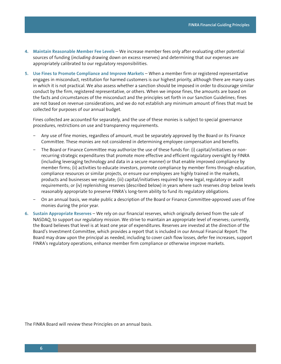- **4. Maintain Reasonable Member Fee Levels** We increase member fees only after evaluating other potential sources of funding (*including* drawing down on excess reserves) and determining that our expenses are appropriately calibrated to our regulatory responsibilities.
- **5. Use Fines to Promote Compliance and Improve Markets** When a member firm or registered representative engages in misconduct, restitution for harmed customers is our highest priority, although there are many cases in which it is not practical. We also assess whether a sanction should be imposed in order to discourage similar conduct by the firm, registered representative, or others. When we impose fines, the amounts are based on the facts and circumstances of the misconduct and the principles set forth in our Sanction Guidelines; fines are not based on revenue considerations, and we do not establish any minimum amount of fines that must be collected for purposes of our annual budget.

Fines collected are accounted for separately, and the use of these monies is subject to special governance procedures, restrictions on use and transparency requirements.

- − Any use of fine monies, regardless of amount, must be separately approved by the Board or its Finance Committee. These monies are not considered in determining employee compensation and benefits.
- − The Board or Finance Committee may authorize the use of these funds for: (i) capital/initiatives or nonrecurring strategic expenditures that promote more effective and efficient regulatory oversight by FINRA (including leveraging technology and data in a secure manner) or that enable improved compliance by member firms; (ii) activities to educate investors, promote compliance by member firms through education, compliance resources or similar projects, or ensure our employees are highly trained in the markets, products and businesses we regulate; (iii) capital/initiatives required by new legal, regulatory or audit requirements; or (iv) replenishing reserves (described below) in years where such reserves drop below levels reasonably appropriate to preserve FINRA's long-term ability to fund its regulatory obligations.
- On an annual basis, we make public a description of the Board or Finance Committee-approved uses of fine monies during the prior year.
- **6. Sustain Appropriate Reserves** We rely on our financial reserves, which originally derived from the sale of NASDAQ, to support our regulatory mission. We strive to maintain an appropriate level of reserves; currently, the Board believes that level is at least one year of expenditures. Reserves are invested at the direction of the Board's Investment Committee, which provides a report that is included in our Annual Financial Report. The Board may draw upon the principal as needed, including to cover cash flow losses, defer fee increases, support FINRA's regulatory operations, enhance member firm compliance or otherwise improve markets.

The FINRA Board will review these Principles on an annual basis.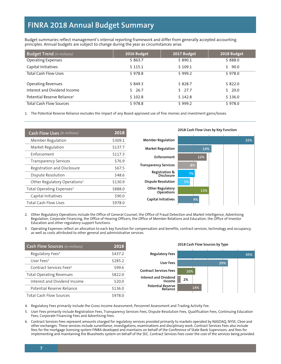# **FINRA 2018 Annual Budget Summary**

Budget summaries reflect management's internal reporting framework and differ from generally accepted accounting principles. Annual budgets are subject to change during the year as circumstances arise.

| <b>Budget Trend</b> (in millions)       | 2016 Budget | 2017 Budget | 2018 Budget |
|-----------------------------------------|-------------|-------------|-------------|
| <b>Operating Expenses</b>               | \$863.7     | \$890.1     | \$888.0     |
| Capital Initiatives                     | \$115.1     | \$109.1     | 90.0        |
| <b>Total Cash Flow Uses</b>             | \$978.8     | \$999.2     | \$978.0     |
| <b>Operating Revenues</b>               | \$849.3     | \$828.7     | \$822.0     |
| Interest and Dividend Income            | 526.7       | 527.7       | 20.0        |
| Potential Reserve Reliance <sup>1</sup> | \$102.8     | \$142.8     | \$136.0     |
| <b>Total Cash Flow Sources</b>          | \$978.8     | \$999.2     | \$978.0     |

1. The Potential Reserve Reliance excludes the impact of any Board-approved use of fine monies and investment gains/losses.

| <b>Cash Flow Uses</b> (in millions)      | 2018    | 2018 Cash Flow Uses by Key Function          |    |     |  |  |     |
|------------------------------------------|---------|----------------------------------------------|----|-----|--|--|-----|
| Member Regulation                        | \$309.1 | <b>Member Regulation</b>                     |    |     |  |  | 32% |
| Market Regulation                        | \$137.7 | <b>Market Regulation</b>                     |    | 14% |  |  |     |
| Enforcement                              | \$117.3 | Enforcement                                  |    | 12% |  |  |     |
| <b>Transparency Services</b>             | \$76.9  |                                              |    |     |  |  |     |
| Registration and Disclosure              | \$67.5  | <b>Transparency Services</b>                 | 8% |     |  |  |     |
| Dispute Resolution                       | \$48.6  | Registration &<br>Disclosure                 | 7% |     |  |  |     |
| Other Regulatory Operations <sup>2</sup> | \$130.9 | <b>Dispute Resolution</b>                    | 5% |     |  |  |     |
| Total Operating Expenses <sup>3</sup>    | \$888.0 | <b>Other Regulatory</b><br><b>Operations</b> |    | 13% |  |  |     |
| Capital Initiatives                      | \$90.0  |                                              |    |     |  |  |     |
| <b>Total Cash Flow Uses</b>              | \$978.0 | <b>Capital Initiatives</b>                   | 9% |     |  |  |     |

2. Other Regulatory Operations include the Office of General Counsel, the Office of Fraud Detection and Market Intelligence, Advertising Regulation, Corporate Financing, the Office of Hearing Officers, the Office of Member Relations and Education, the Office of Investor Education and other regulatory support functions.

3. Operating Expenses reflect an allocation to each key function for compensation and benefits, contract services, technology and occupancy, as well as costs attributed to other general and administrative services.

| <b>Cash Flow Sources</b> (in millions) | 2018    | 2018 Cash Flow Sources by Type       |     |     |     |     |
|----------------------------------------|---------|--------------------------------------|-----|-----|-----|-----|
| Regulatory Fees <sup>4</sup>           | \$437.2 | <b>Regulatory Fees</b>               |     |     |     | 45% |
| User Fees <sup>5</sup>                 | \$285.2 | User Fees                            |     |     | 29% |     |
| Contract Services Fees <sup>6</sup>    | \$99.6  | <b>Contract Services Fees</b>        |     |     |     |     |
| <b>Total Operating Revenues</b>        | \$822.0 | Interest and Dividend                | 10% |     |     |     |
| Interest and Dividend Income           | \$20.0  | Income                               | 2%  |     |     |     |
| Potential Reserve Reliance             | \$136.0 | <b>Potential Reserve</b><br>Reliance |     | 14% |     |     |
| Total Cash Flow Sources                | \$978.0 |                                      |     |     |     |     |

4. Regulatory Fees primarily include the Gross Income Assessment, Personnel Assessment and Trading Activity Fee.

5. User Fees primarily include Registration Fees, Transparency Services Fees, Dispute Resolution Fees, Qualification Fees, Continuing Education Fees, Corporate Financing Fees and Advertising Fees.

6. Contract Services Fees represent amounts charged for regulatory services provided primarily to markets operated by NASDAQ, NYSE, Cboe and other exchanges. These services include surveillance, investigations, examinations and disciplinary work. Contract Services Fees also include fees for the mortgage licensing system FINRA developed and maintains on behalf of the Conference of State Bank Supervisors, and fees for implementing and maintaining the Bluesheets system on behalf of the SEC. Contract Services Fees cover the cost of the services being provided.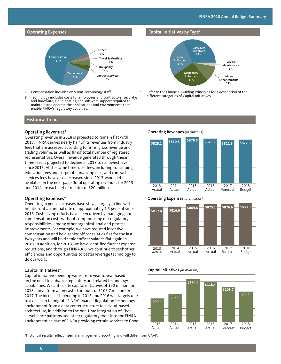



- 7. Compensation includes only non-Technology staff.
- 8. Technology includes costs for employees and contractors; security; and hardware, cloud hosting and software support required to maintain and operate the applications and environments that enable FINRA's regulatory activities.

#### **Historical Trends**

#### **Operating Revenues\***

Operating revenue in 2018 is projected to remain flat with 2017. FINRA derives nearly half of its revenues from industry fees that are assessed according to firms' gross revenue and trading volume, as well as firms' total number of registered representatives. Overall revenue generated through these three fees is projected to decline in 2018 to its lowest level since 2013. At the same time, user fees, including continuing education fees and corporate financing fees, and contract services fees have also decreased since 2013. More detail is available on the next page. Total operating revenues for 2013 and 2014 are each net of rebates of \$20 million.

#### **Operating Expenses\***

Operating expense increases have stayed largely in line with inflation, at an annual rate of approximately 1.5 percent since 2013. Cost-saving efforts have been driven by managing our compensation costs without compromising our regulatory responsibilities, among other organizational and process improvements. For example, we have reduced incentive compensation and held senior officer salaries flat for the last two years and will hold senior officer salaries flat again in 2018. In addition, for 2018, we have identified further expense reductions; and through FINRA360, we continue to seek other efficiencies and opportunities to better leverage technology to do our work.

#### **Capital Initiatives\***

Capital initiative spending varies from year to year based on the need to enhance regulatory and related technology capabilities. We anticipate capital initiatives of \$90 million for 2018, down from a forecasted amount of \$103.7 million for 2017. The increased spending in 2015 and 2016 was largely due to a decision to migrate FINRA's Market Regulation technology environment from a data center structure to a cloud-based architecture, in addition to the one-time integration of Cboe surveillance patterns and other regulatory tools into the FINRA environment as part of FINRA providing certain services to Cboe.

#### \*Historical results reflect internal management reporting and will differ from GAAP.

#### **Capital Initiatives by Type<sup>9</sup>**



9. Refer to the Financial Guiding Principles for a description of the different categories of Capital Initiatives.

#### **Operating Revenues** *(in millions)*







#### **Capital Initiatives** *(in millions)*

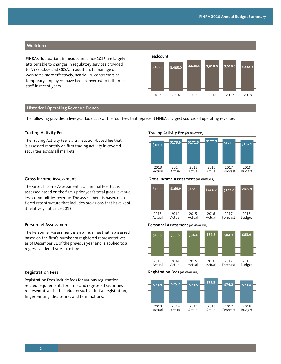# **Workforce**

**Headcount** FINRA's fluctuations in headcount since 2013 are largely attributable to changes in regulatory services provided to NYSE, Cboe and ORSA. In addition, to manage our workforce more effectively, nearly 120 contractors or temporary employees have been converted to full-time staff in recent years.



#### **Historical Operating Revenue Trends**

The following provides a five-year look back at the four fees that represent FINRA's largest sources of operating revenue.

#### **Trading Activity Fee**

The Trading Activity Fee is a transaction-based fee that is assessed monthly on firm trading activity in covered securities across all markets.

#### **Gross Income Assessment**

The Gross Income Assessment is an annual fee that is assessed based on the firm's prior year's total gross revenue less commodities revenue. The assessment is based on a tiered rate structure that includes provisions that have kept it relatively flat since 2013.

## **Personnel Assessment**

The Personnel Assessment is an annual fee that is assessed based on the firm's number of registered representatives as of December 31 of the previous year and is applied to a regressive tiered rate structure.

#### **Registration Fees**

Registration Fees include fees for various registrationrelated requirements for firms and registered securities representatives in the industry such as initial registration, fingerprinting, disclosures and terminations.

#### **Trading Activity Fee** *(in millions)*



#### **Gross Income Assessment** *(in millions)*



#### **Personnel Assessment** *(in millions)*





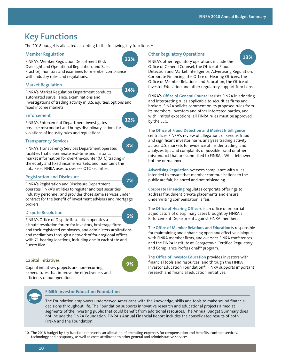# **Key Functions**

The 2018 budget is allocated according to the following key functions.10

### **Member Regulation**

FINRA's Member Regulation Department (Risk Oversight and Operational Regulation, and Sales Practice) monitors and examines for member compliance with industry rules and regulations.

# **Market Regulation**



**32%**

**12%**

automated surveillance, examinations and investigations of trading activity in U.S. equities, options and fixed income markets.

## **Enforcement**

FINRA's Enforcement Department investigates possible misconduct and brings disciplinary actions for violations of industry rules and regulations.

# **Transparency Services**

FINRA's Transparency Services Department operates facilities that disseminate real-time and historical market information for over-the-counter (OTC) trading in the equity and fixed income markets, and maintains the databases FINRA uses to oversee OTC securities. **8%**

# **Registration and Disclosure**

FINRA's Registration and Disclosure Department operates FINRA's utilities to register and test securities industry personnel, and provides those same services under contract for the benefit of investment advisers and mortgage brokers. **7%**

# **Dispute Resolution**

FINRA's Office of Dispute Resolution operates a dispute resolution forum for investors, brokerage firms and their registered employees, and administers arbitrations and mediations through a network of four regional offices, with 71 hearing locations, including one in each state and Puerto Rico. **5%**

# **Capital Initiatives**



Capital initiatives projects are non-recurring expenditures that improve the effectiveness and efficiency of our operations.

# **Other Regulatory Operations**

hotline or mailbox.

**13%**

FINRA's other regulatory operations include the Office of General Counsel, the Office of Fraud Detection and Market Intelligence, Advertising Regulation, Corporate Financing, the Office of Hearing Officers, the Office of Member Relations and Education, the Office of

Investor Education and other regulatory support functions. FINRA's **Office of General Counsel** assists FINRA in adopting and interpreting rules applicable to securities firms and brokers. FINRA solicits comment on its proposed rules from

with limited exceptions, all FINRA rules must be approved by the SEC. The **Office of Fraud Detection and Market Intelligence** centralizes FINRA's review of allegations of serious fraud and significant investor harm, analyzes trading activity across U.S. markets for evidence of insider trading, and analyzes tips and complaints of possible fraud or other

its members, investors and other interested parties, and,

**Advertising Regulation** oversees compliance with rules intended to ensure that member communications to the public are fair, balanced and not misleading.

misconduct that are submitted to FINRA's Whistleblower

**Corporate Financing** regulates corporate offerings to address fraudulent private placements and ensure underwriting compensation is fair.

The **Office of Hearing Officers** is an office of impartial adjudicators of disciplinary cases brought by FINRA's Enforcement Department against FINRA members.

The **Office of Member Relations and Education** is responsible for maintaining and enhancing open and effective dialogue with FINRA member firms, and oversees FINRA conferences and the FINRA Institute at Georgetown Certified Regulatory and Compliance Professional™ program.

The **Office of Investor Education** provides investors with financial tools and resources; and through the FINRA Investor Education Foundation®, FINRA supports important research and financial education initiatives.



# **FINRA Investor Education Foundation**

The Foundation empowers underserved Americans with the knowledge, skills and tools to make sound financial decisions throughout life. The Foundation supports innovative research and educational projects aimed at segments of the investing public that could benefit from additional resources. The Annual Budget Summary does not include the FINRA Foundation. FINRA's Annual Financial Report includes the consolidated results of both FINRA and the Foundation.

10. The 2018 budget by key function represents an allocation of operating expenses for compensation and benefits, contract services, technology and occupancy, as well as costs attributed to other general and administrative services.